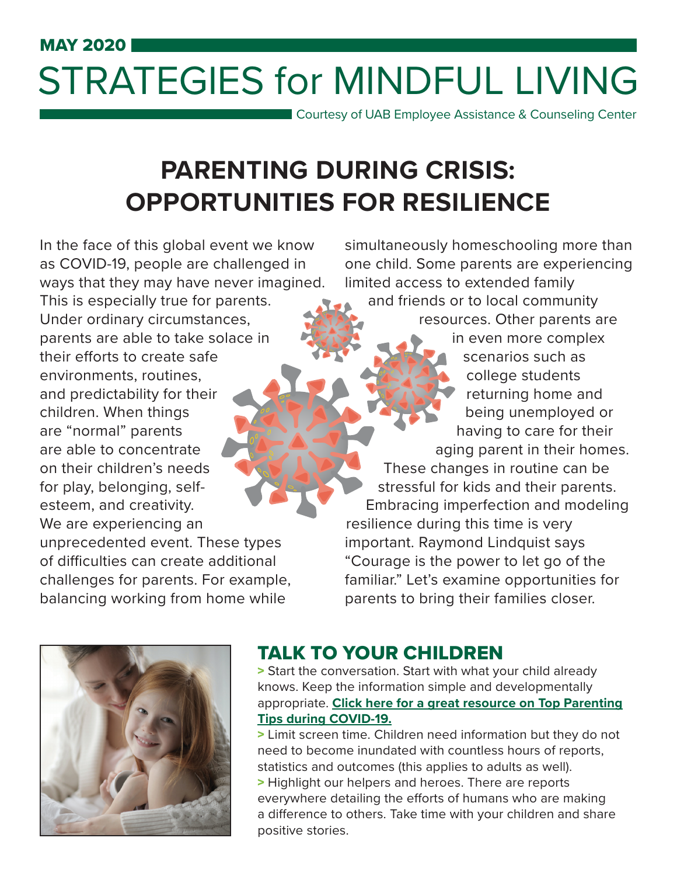# MAY 2020 STRATEGIES for MINDFUL LIVING

Courtesy of UAB Employee Assistance & Counseling Center

## **PARENTING DURING CRISIS: OPPORTUNITIES FOR RESILIENCE**

In the face of this global event we know as COVID-19, people are challenged in ways that they may have never imagined. This is especially true for parents. Under ordinary circumstances, parents are able to take solace in their efforts to create safe environments, routines, and predictability for their children. When things are "normal" parents are able to concentrate on their children's needs for play, belonging, selfesteem, and creativity. We are experiencing an

unprecedented event. These types of difficulties can create additional challenges for parents. For example, balancing working from home while

simultaneously homeschooling more than one child. Some parents are experiencing limited access to extended family and friends or to local community resources. Other parents are in even more complex scenarios such as college students returning home and being unemployed or having to care for their aging parent in their homes. These changes in routine can be stressful for kids and their parents. Embracing imperfection and modeling resilience during this time is very important. Raymond Lindquist says "Courage is the power to let go of the familiar." Let's examine opportunities for parents to bring their families closer.



#### TALK TO YOUR CHILDREN

> Start the conversation. Start with what your child already knows. Keep the information simple and developmentally appropriate. **Click here for a great [resource on Top Parenting](https://www.uab.edu/humanresources/home/images/EACC/TopCovid19ParentingTips.pdf) [Tips during COVID-19.](https://www.uab.edu/humanresources/home/images/EACC/TopCovid19ParentingTips.pdf)**

> Limit screen time. Children need information but they do not need to become inundated with countless hours of reports, statistics and outcomes (this applies to adults as well). > Highlight our helpers and heroes. There are reports everywhere detailing the efforts of humans who are making a difference to others. Take time with your children and share positive stories.